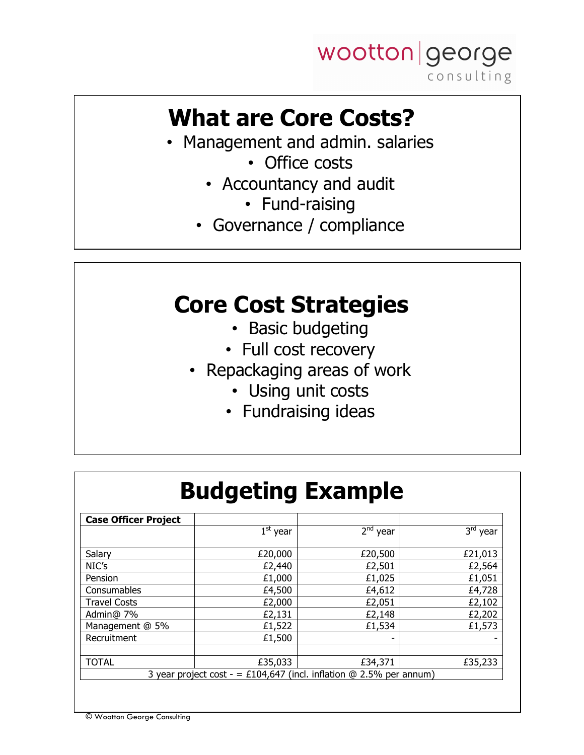

# **What are Core Costs?**

- Management and admin. salaries
	- Office costs
	- Accountancy and audit
		- Fund-raising
	- Governance / compliance

#### **Core Cost Strategies**

- Basic budgeting
- Full cost recovery
- Repackaging areas of work
	- Using unit costs
	- Fundraising ideas

| <b>Case Officer Project</b> |            |            |            |
|-----------------------------|------------|------------|------------|
|                             | $1st$ year | $2nd$ year | $3rd$ year |
| Salary                      | £20,000    | £20,500    | £21,013    |
| NIC's                       | £2,440     | £2,501     | £2,564     |
| Pension                     | £1,000     | £1,025     | £1,051     |
| Consumables                 | £4,500     | £4,612     | £4,728     |
| <b>Travel Costs</b>         | £2,000     | £2,051     | £2,102     |
| Admin@ 7%                   | £2,131     | £2,148     | £2,202     |
| Management @ 5%             | £1,522     | £1,534     | £1,573     |
| Recruitment                 | £1,500     |            |            |
|                             |            |            |            |
| <b>TOTAL</b>                | £35,033    | £34,371    | £35,233    |

© Wootton George Consulting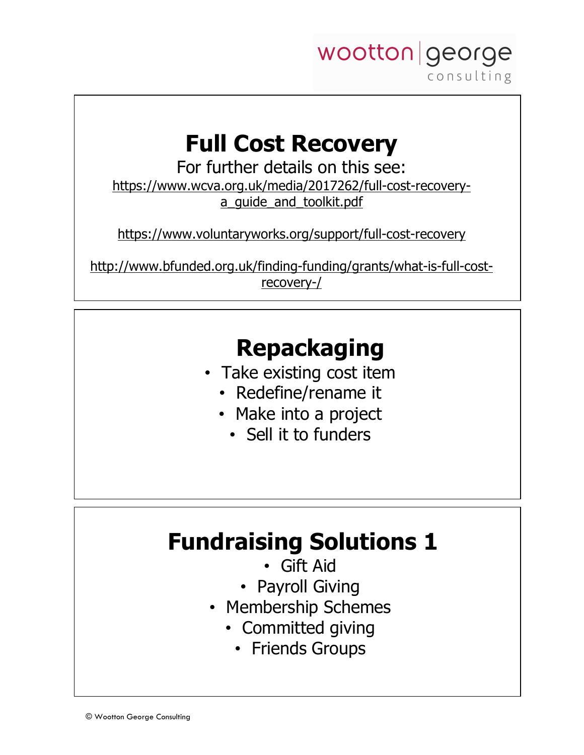

# **Full Cost Recovery**

For further details on this see: https://www.wcva.org.uk/media/2017262/full-cost-recoverya quide and toolkit.pdf

https://www.voluntaryworks.org/support/full-cost-recovery

http://www.bfunded.org.uk/finding-funding/grants/what-is-full-costrecovery-/

# **Repackaging**

- Take existing cost item
	- Redefine/rename it
	- Make into a project
		- Sell it to funders

## **Fundraising Solutions 1**

- Gift Aid
- Payroll Giving
- Membership Schemes
	- Committed giving
		- Friends Groups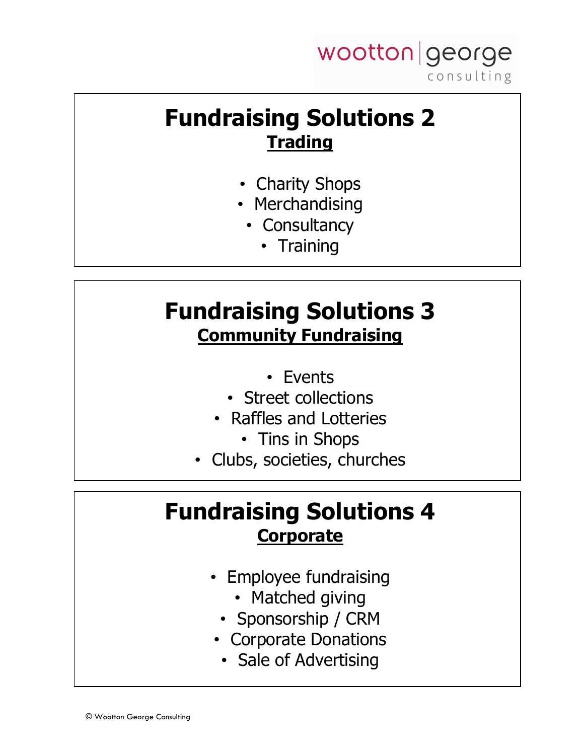

#### **Fundraising Solutions 2 Trading**

- Charity Shops
- Merchandising
	- Consultancy
		- Training

## **Fundraising Solutions 3 Community Fundraising**

- Events
- Street collections
- Raffles and Lotteries
	- Tins in Shops
- Clubs, societies, churches

#### **Fundraising Solutions 4 Corporate**

- Employee fundraising
	- Matched giving
	- Sponsorship / CRM
- Corporate Donations
	- Sale of Advertising